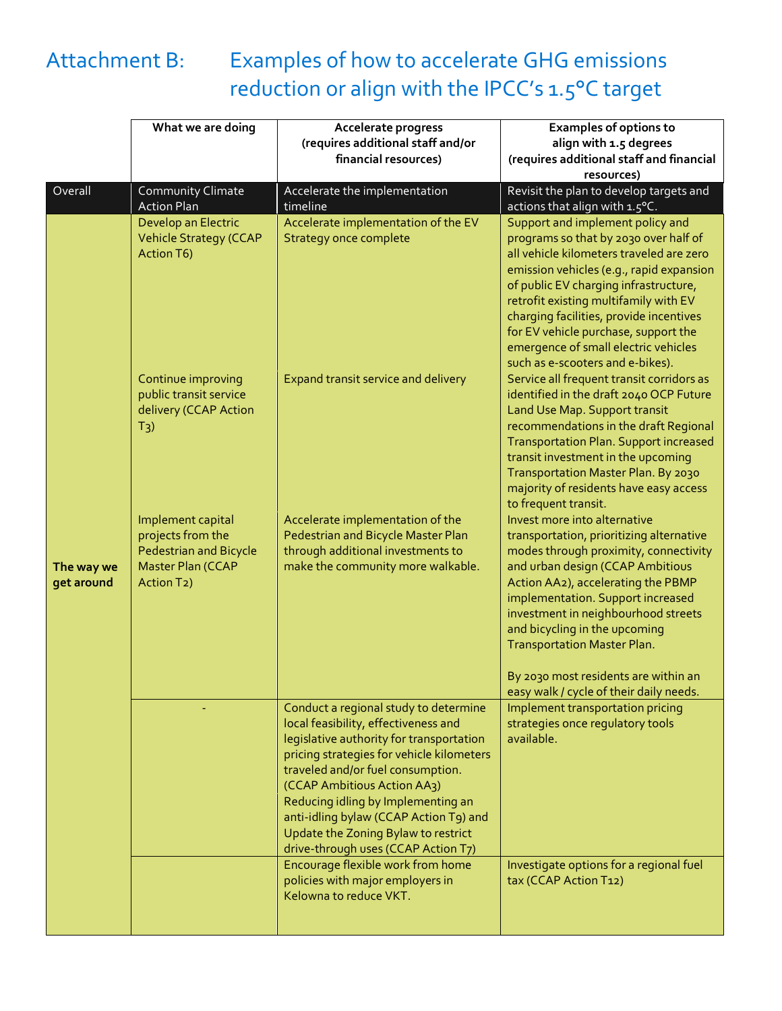

## Attachment B: Examples of how to accelerate GHG emissions reduction or align with the IPCC's 1.5°C target

|                          | What we are doing                                  | Accelerate progress                                                                   | <b>Examples of options to</b>                                                       |
|--------------------------|----------------------------------------------------|---------------------------------------------------------------------------------------|-------------------------------------------------------------------------------------|
|                          |                                                    | (requires additional staff and/or                                                     | align with 1.5 degrees                                                              |
|                          |                                                    | financial resources)                                                                  | (requires additional staff and financial<br>resources)                              |
| Overall                  | Community Climate                                  | Accelerate the implementation                                                         | Revisit the plan to develop targets and                                             |
|                          | <b>Action Plan</b>                                 | timeline                                                                              | actions that align with 1.5°C.                                                      |
|                          | Develop an Electric                                | Accelerate implementation of the EV                                                   | Support and implement policy and                                                    |
|                          | <b>Vehicle Strategy (CCAP</b>                      | <b>Strategy once complete</b>                                                         | programs so that by 2030 over half of                                               |
|                          | Action T6)                                         |                                                                                       | all vehicle kilometers traveled are zero                                            |
|                          |                                                    |                                                                                       | emission vehicles (e.g., rapid expansion                                            |
|                          |                                                    |                                                                                       | of public EV charging infrastructure,                                               |
|                          |                                                    |                                                                                       | retrofit existing multifamily with EV                                               |
|                          |                                                    |                                                                                       | charging facilities, provide incentives<br>for EV vehicle purchase, support the     |
|                          |                                                    |                                                                                       | emergence of small electric vehicles                                                |
|                          |                                                    |                                                                                       | such as e-scooters and e-bikes).                                                    |
|                          | Continue improving                                 | Expand transit service and delivery                                                   | Service all frequent transit corridors as                                           |
|                          | public transit service                             |                                                                                       | identified in the draft 2040 OCP Future                                             |
|                          | delivery (CCAP Action                              |                                                                                       | Land Use Map. Support transit                                                       |
|                          | $T_3$ )                                            |                                                                                       | recommendations in the draft Regional                                               |
|                          |                                                    |                                                                                       | <b>Transportation Plan. Support increased</b><br>transit investment in the upcoming |
|                          |                                                    |                                                                                       | Transportation Master Plan. By 2030                                                 |
|                          |                                                    |                                                                                       | majority of residents have easy access                                              |
|                          |                                                    |                                                                                       | to frequent transit.                                                                |
|                          | Implement capital                                  | Accelerate implementation of the                                                      | Invest more into alternative                                                        |
|                          | projects from the<br><b>Pedestrian and Bicycle</b> | Pedestrian and Bicycle Master Plan<br>through additional investments to               | transportation, prioritizing alternative<br>modes through proximity, connectivity   |
| The way we<br>get around | Master Plan (CCAP                                  | make the community more walkable.                                                     | and urban design (CCAP Ambitious                                                    |
|                          | Action T <sub>2</sub> )                            |                                                                                       | Action AA2), accelerating the PBMP                                                  |
|                          |                                                    |                                                                                       | implementation. Support increased                                                   |
|                          |                                                    |                                                                                       | investment in neighbourhood streets                                                 |
|                          |                                                    |                                                                                       | and bicycling in the upcoming                                                       |
|                          |                                                    |                                                                                       | <b>Transportation Master Plan.</b>                                                  |
|                          |                                                    |                                                                                       | By 2030 most residents are within an                                                |
|                          |                                                    |                                                                                       | easy walk / cycle of their daily needs.                                             |
|                          |                                                    | Conduct a regional study to determine                                                 | Implement transportation pricing                                                    |
|                          |                                                    | local feasibility, effectiveness and                                                  | strategies once regulatory tools                                                    |
|                          |                                                    | legislative authority for transportation<br>pricing strategies for vehicle kilometers | available.                                                                          |
|                          |                                                    | traveled and/or fuel consumption.                                                     |                                                                                     |
|                          |                                                    | (CCAP Ambitious Action AA3)                                                           |                                                                                     |
|                          |                                                    | Reducing idling by Implementing an                                                    |                                                                                     |
|                          |                                                    | anti-idling bylaw (CCAP Action T9) and                                                |                                                                                     |
|                          |                                                    | Update the Zoning Bylaw to restrict                                                   |                                                                                     |
|                          |                                                    | drive-through uses (CCAP Action T7)<br>Encourage flexible work from home              |                                                                                     |
|                          |                                                    | policies with major employers in                                                      | Investigate options for a regional fuel<br>tax (CCAP Action T12)                    |
|                          |                                                    | Kelowna to reduce VKT.                                                                |                                                                                     |
|                          |                                                    |                                                                                       |                                                                                     |
|                          |                                                    |                                                                                       |                                                                                     |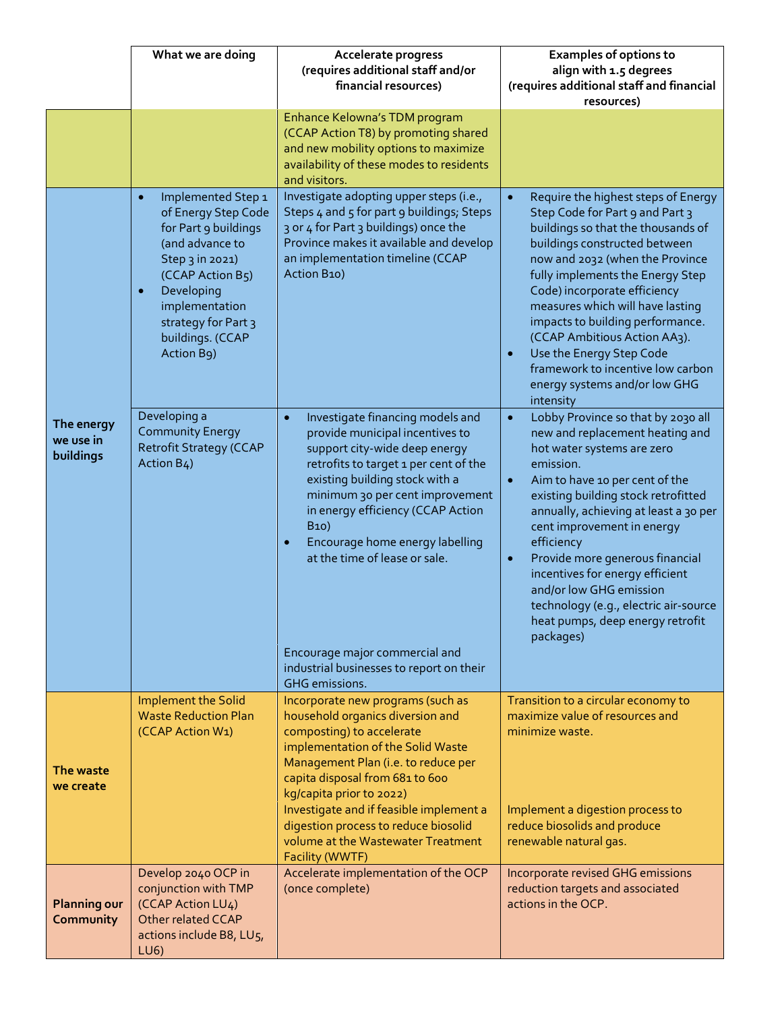|                                      | What we are doing                                                                                                                                                                                                                              | Accelerate progress<br>(requires additional staff and/or<br>financial resources)                                                                                                                                                                                                                                                                                      | <b>Examples of options to</b><br>align with 1.5 degrees<br>(requires additional staff and financial                                                                                                                                                                                                                                                                                                                                                                                                              |
|--------------------------------------|------------------------------------------------------------------------------------------------------------------------------------------------------------------------------------------------------------------------------------------------|-----------------------------------------------------------------------------------------------------------------------------------------------------------------------------------------------------------------------------------------------------------------------------------------------------------------------------------------------------------------------|------------------------------------------------------------------------------------------------------------------------------------------------------------------------------------------------------------------------------------------------------------------------------------------------------------------------------------------------------------------------------------------------------------------------------------------------------------------------------------------------------------------|
|                                      |                                                                                                                                                                                                                                                |                                                                                                                                                                                                                                                                                                                                                                       | resources)                                                                                                                                                                                                                                                                                                                                                                                                                                                                                                       |
|                                      |                                                                                                                                                                                                                                                | Enhance Kelowna's TDM program<br>(CCAP Action T8) by promoting shared<br>and new mobility options to maximize<br>availability of these modes to residents<br>and visitors.                                                                                                                                                                                            |                                                                                                                                                                                                                                                                                                                                                                                                                                                                                                                  |
|                                      | Implemented Step 1<br>$\bullet$<br>of Energy Step Code<br>for Part 9 buildings<br>(and advance to<br>Step 3 in 2021)<br>(CCAP Action B5)<br>Developing<br>$\bullet$<br>implementation<br>strategy for Part 3<br>buildings. (CCAP<br>Action B9) | Investigate adopting upper steps (i.e.,<br>Steps 4 and 5 for part 9 buildings; Steps<br>3 or 4 for Part 3 buildings) once the<br>Province makes it available and develop<br>an implementation timeline (CCAP<br>Action B10)                                                                                                                                           | Require the highest steps of Energy<br>$\bullet$<br>Step Code for Part 9 and Part 3<br>buildings so that the thousands of<br>buildings constructed between<br>now and 2032 (when the Province<br>fully implements the Energy Step<br>Code) incorporate efficiency<br>measures which will have lasting<br>impacts to building performance.<br>(CCAP Ambitious Action AA3).<br>Use the Energy Step Code<br>$\bullet$<br>framework to incentive low carbon<br>energy systems and/or low GHG<br>intensity            |
| The energy<br>we use in<br>buildings | Developing a<br><b>Community Energy</b><br><b>Retrofit Strategy (CCAP</b><br>Action B4)                                                                                                                                                        | Investigate financing models and<br>$\bullet$<br>provide municipal incentives to<br>support city-wide deep energy<br>retrofits to target 1 per cent of the<br>existing building stock with a<br>minimum 30 per cent improvement<br>in energy efficiency (CCAP Action<br><b>B10</b> )<br>Encourage home energy labelling<br>$\bullet$<br>at the time of lease or sale. | Lobby Province so that by 2030 all<br>$\bullet$<br>new and replacement heating and<br>hot water systems are zero<br>emission.<br>Aim to have 10 per cent of the<br>$\bullet$<br>existing building stock retrofitted<br>annually, achieving at least a 30 per<br>cent improvement in energy<br>efficiency<br>Provide more generous financial<br>$\bullet$<br>incentives for energy efficient<br>and/or low GHG emission<br>technology (e.g., electric air-source<br>heat pumps, deep energy retrofit<br>packages) |
|                                      |                                                                                                                                                                                                                                                | Encourage major commercial and<br>industrial businesses to report on their<br><b>GHG</b> emissions.                                                                                                                                                                                                                                                                   |                                                                                                                                                                                                                                                                                                                                                                                                                                                                                                                  |
| The waste<br>we create               | Implement the Solid<br><b>Waste Reduction Plan</b><br>(CCAP Action W1)                                                                                                                                                                         | Incorporate new programs (such as<br>household organics diversion and<br>composting) to accelerate<br>implementation of the Solid Waste<br>Management Plan (i.e. to reduce per<br>capita disposal from 681 to 600<br>kg/capita prior to 2022)                                                                                                                         | Transition to a circular economy to<br>maximize value of resources and<br>minimize waste.                                                                                                                                                                                                                                                                                                                                                                                                                        |
|                                      |                                                                                                                                                                                                                                                | Investigate and if feasible implement a<br>digestion process to reduce biosolid<br>volume at the Wastewater Treatment<br>Facility (WWTF)                                                                                                                                                                                                                              | Implement a digestion process to<br>reduce biosolids and produce<br>renewable natural gas.                                                                                                                                                                                                                                                                                                                                                                                                                       |
| <b>Planning our</b><br>Community     | Develop 2040 OCP in<br>conjunction with TMP<br>(CCAP Action LU4)<br>Other related CCAP<br>actions include B8, LU5,<br>LUS                                                                                                                      | Accelerate implementation of the OCP<br>(once complete)                                                                                                                                                                                                                                                                                                               | Incorporate revised GHG emissions<br>reduction targets and associated<br>actions in the OCP.                                                                                                                                                                                                                                                                                                                                                                                                                     |